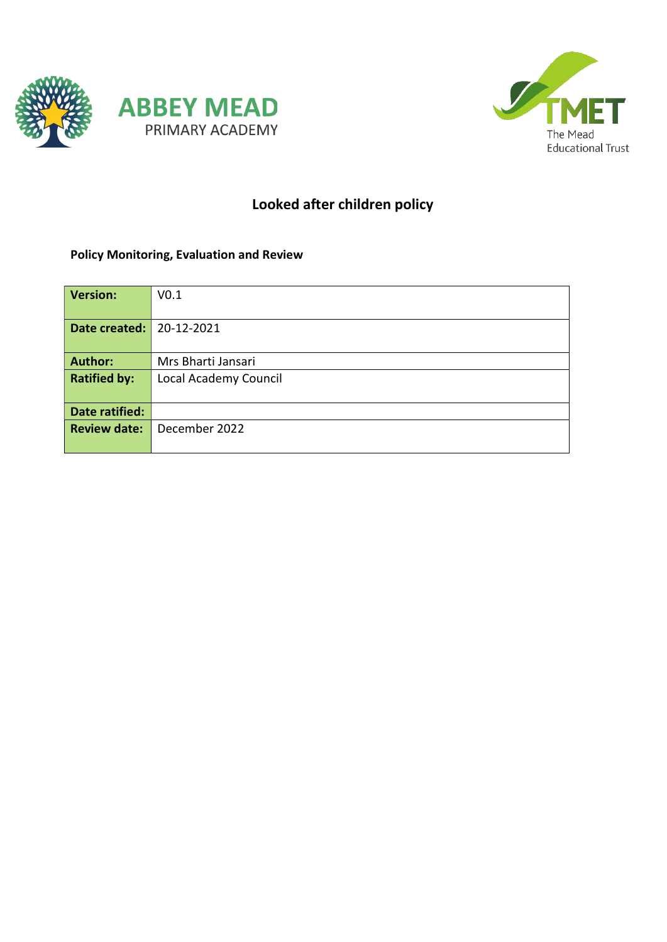



# Looked after children policy

# Policy Monitoring, Evaluation and Review

| <b>Version:</b>     | V <sub>0.1</sub>      |
|---------------------|-----------------------|
|                     |                       |
| Date created:       | 20-12-2021            |
|                     |                       |
| <b>Author:</b>      | Mrs Bharti Jansari    |
| <b>Ratified by:</b> | Local Academy Council |
|                     |                       |
| Date ratified:      |                       |
| <b>Review date:</b> | December 2022         |
|                     |                       |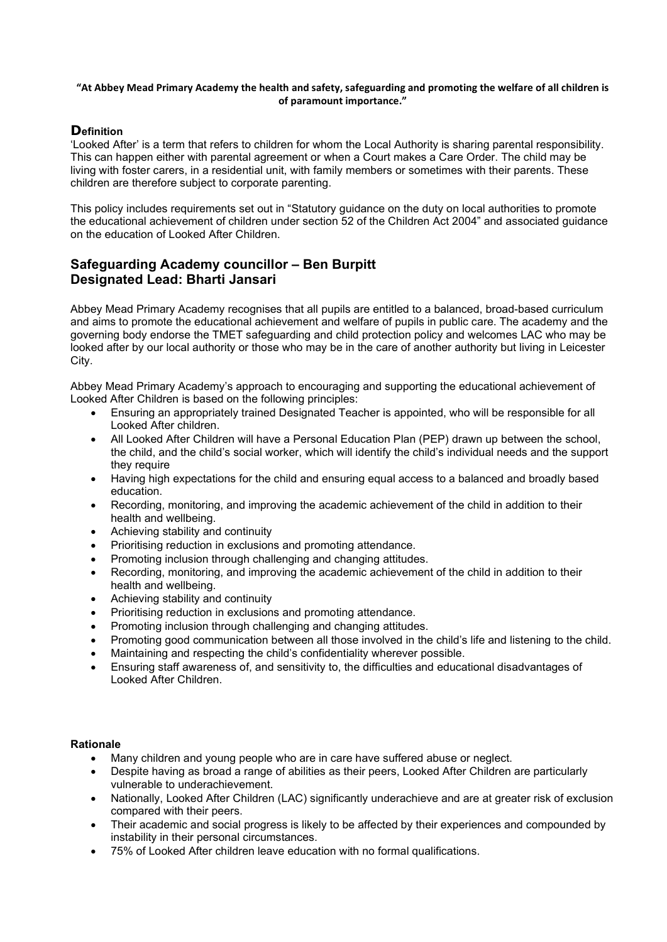#### "At Abbey Mead Primary Academy the health and safety, safeguarding and promoting the welfare of all children is of paramount importance."

# **Definition**

'Looked After' is a term that refers to children for whom the Local Authority is sharing parental responsibility. This can happen either with parental agreement or when a Court makes a Care Order. The child may be living with foster carers, in a residential unit, with family members or sometimes with their parents. These children are therefore subject to corporate parenting.

This policy includes requirements set out in "Statutory guidance on the duty on local authorities to promote the educational achievement of children under section 52 of the Children Act 2004" and associated guidance on the education of Looked After Children.

# Safeguarding Academy councillor – Ben Burpitt Designated Lead: Bharti Jansari

Abbey Mead Primary Academy recognises that all pupils are entitled to a balanced, broad-based curriculum and aims to promote the educational achievement and welfare of pupils in public care. The academy and the governing body endorse the TMET safeguarding and child protection policy and welcomes LAC who may be looked after by our local authority or those who may be in the care of another authority but living in Leicester City.

Abbey Mead Primary Academy's approach to encouraging and supporting the educational achievement of Looked After Children is based on the following principles:

- Ensuring an appropriately trained Designated Teacher is appointed, who will be responsible for all Looked After children.
- All Looked After Children will have a Personal Education Plan (PEP) drawn up between the school, the child, and the child's social worker, which will identify the child's individual needs and the support they require
- Having high expectations for the child and ensuring equal access to a balanced and broadly based education.
- Recording, monitoring, and improving the academic achievement of the child in addition to their health and wellbeing.
- Achieving stability and continuity
- Prioritising reduction in exclusions and promoting attendance.
- Promoting inclusion through challenging and changing attitudes.
- Recording, monitoring, and improving the academic achievement of the child in addition to their health and wellbeing.
- Achieving stability and continuity
- Prioritising reduction in exclusions and promoting attendance.
- Promoting inclusion through challenging and changing attitudes.
- Promoting good communication between all those involved in the child's life and listening to the child.
- Maintaining and respecting the child's confidentiality wherever possible.
- Ensuring staff awareness of, and sensitivity to, the difficulties and educational disadvantages of Looked After Children.

#### **Rationale**

- Many children and young people who are in care have suffered abuse or neglect.
- Despite having as broad a range of abilities as their peers, Looked After Children are particularly vulnerable to underachievement.
- Nationally, Looked After Children (LAC) significantly underachieve and are at greater risk of exclusion compared with their peers.
- Their academic and social progress is likely to be affected by their experiences and compounded by instability in their personal circumstances.
- 75% of Looked After children leave education with no formal qualifications.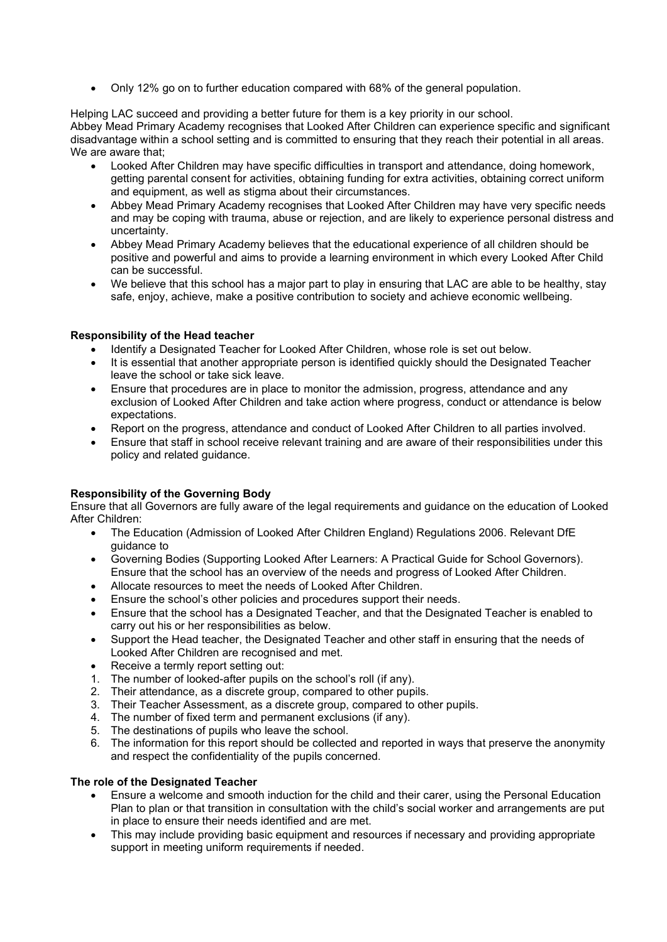Only 12% go on to further education compared with 68% of the general population.

Helping LAC succeed and providing a better future for them is a key priority in our school.

Abbey Mead Primary Academy recognises that Looked After Children can experience specific and significant disadvantage within a school setting and is committed to ensuring that they reach their potential in all areas. We are aware that:

- Looked After Children may have specific difficulties in transport and attendance, doing homework, getting parental consent for activities, obtaining funding for extra activities, obtaining correct uniform and equipment, as well as stigma about their circumstances.
- Abbey Mead Primary Academy recognises that Looked After Children may have very specific needs and may be coping with trauma, abuse or rejection, and are likely to experience personal distress and uncertainty.
- Abbey Mead Primary Academy believes that the educational experience of all children should be positive and powerful and aims to provide a learning environment in which every Looked After Child can be successful.
- We believe that this school has a major part to play in ensuring that LAC are able to be healthy, stay safe, enjoy, achieve, make a positive contribution to society and achieve economic wellbeing.

# Responsibility of the Head teacher

- Identify a Designated Teacher for Looked After Children, whose role is set out below.
- It is essential that another appropriate person is identified quickly should the Designated Teacher leave the school or take sick leave.
- Ensure that procedures are in place to monitor the admission, progress, attendance and any exclusion of Looked After Children and take action where progress, conduct or attendance is below expectations.
- Report on the progress, attendance and conduct of Looked After Children to all parties involved.
- Ensure that staff in school receive relevant training and are aware of their responsibilities under this policy and related guidance.

# Responsibility of the Governing Body

Ensure that all Governors are fully aware of the legal requirements and guidance on the education of Looked After Children:

- The Education (Admission of Looked After Children England) Regulations 2006. Relevant DfE guidance to
- Governing Bodies (Supporting Looked After Learners: A Practical Guide for School Governors). Ensure that the school has an overview of the needs and progress of Looked After Children.
- Allocate resources to meet the needs of Looked After Children.
- Ensure the school's other policies and procedures support their needs.
- Ensure that the school has a Designated Teacher, and that the Designated Teacher is enabled to carry out his or her responsibilities as below.
- Support the Head teacher, the Designated Teacher and other staff in ensuring that the needs of Looked After Children are recognised and met.
- Receive a termly report setting out:
- 1. The number of looked-after pupils on the school's roll (if any).
- 2. Their attendance, as a discrete group, compared to other pupils.
- 3. Their Teacher Assessment, as a discrete group, compared to other pupils.
- 4. The number of fixed term and permanent exclusions (if any).
- 5. The destinations of pupils who leave the school.
- 6. The information for this report should be collected and reported in ways that preserve the anonymity and respect the confidentiality of the pupils concerned.

# The role of the Designated Teacher

- Ensure a welcome and smooth induction for the child and their carer, using the Personal Education Plan to plan or that transition in consultation with the child's social worker and arrangements are put in place to ensure their needs identified and are met.
- This may include providing basic equipment and resources if necessary and providing appropriate support in meeting uniform requirements if needed.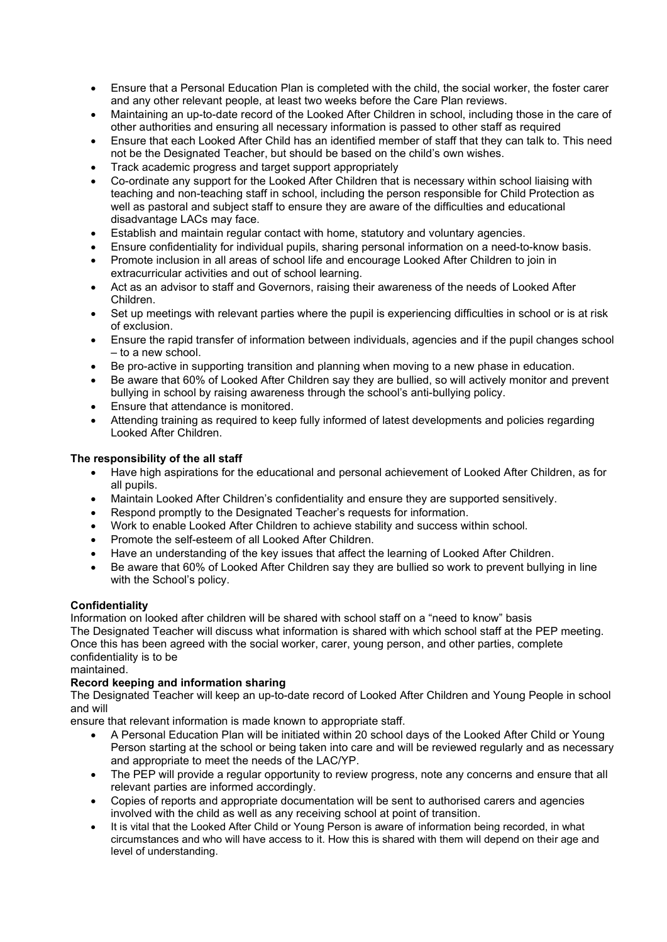- Ensure that a Personal Education Plan is completed with the child, the social worker, the foster carer and any other relevant people, at least two weeks before the Care Plan reviews.
- Maintaining an up-to-date record of the Looked After Children in school, including those in the care of other authorities and ensuring all necessary information is passed to other staff as required
- Ensure that each Looked After Child has an identified member of staff that they can talk to. This need not be the Designated Teacher, but should be based on the child's own wishes.
- Track academic progress and target support appropriately
- Co-ordinate any support for the Looked After Children that is necessary within school liaising with teaching and non-teaching staff in school, including the person responsible for Child Protection as well as pastoral and subject staff to ensure they are aware of the difficulties and educational disadvantage LACs may face.
- Establish and maintain regular contact with home, statutory and voluntary agencies.
- Ensure confidentiality for individual pupils, sharing personal information on a need-to-know basis.
- Promote inclusion in all areas of school life and encourage Looked After Children to join in extracurricular activities and out of school learning.
- Act as an advisor to staff and Governors, raising their awareness of the needs of Looked After Children.
- Set up meetings with relevant parties where the pupil is experiencing difficulties in school or is at risk of exclusion.
- Ensure the rapid transfer of information between individuals, agencies and if the pupil changes school – to a new school.
- Be pro-active in supporting transition and planning when moving to a new phase in education.
- Be aware that 60% of Looked After Children say they are bullied, so will actively monitor and prevent bullying in school by raising awareness through the school's anti-bullying policy.
- Ensure that attendance is monitored.
- Attending training as required to keep fully informed of latest developments and policies regarding Looked After Children.

# The responsibility of the all staff

- Have high aspirations for the educational and personal achievement of Looked After Children, as for all pupils.
- Maintain Looked After Children's confidentiality and ensure they are supported sensitively.
- Respond promptly to the Designated Teacher's requests for information.
- Work to enable Looked After Children to achieve stability and success within school.
- Promote the self-esteem of all Looked After Children.
- Have an understanding of the key issues that affect the learning of Looked After Children.
- Be aware that 60% of Looked After Children say they are bullied so work to prevent bullying in line with the School's policy.

# **Confidentiality**

Information on looked after children will be shared with school staff on a "need to know" basis The Designated Teacher will discuss what information is shared with which school staff at the PEP meeting. Once this has been agreed with the social worker, carer, young person, and other parties, complete confidentiality is to be

maintained.

# Record keeping and information sharing

The Designated Teacher will keep an up-to-date record of Looked After Children and Young People in school and will

ensure that relevant information is made known to appropriate staff.

- A Personal Education Plan will be initiated within 20 school days of the Looked After Child or Young Person starting at the school or being taken into care and will be reviewed regularly and as necessary and appropriate to meet the needs of the LAC/YP.
- The PEP will provide a regular opportunity to review progress, note any concerns and ensure that all relevant parties are informed accordingly.
- Copies of reports and appropriate documentation will be sent to authorised carers and agencies involved with the child as well as any receiving school at point of transition.
- It is vital that the Looked After Child or Young Person is aware of information being recorded, in what circumstances and who will have access to it. How this is shared with them will depend on their age and level of understanding.